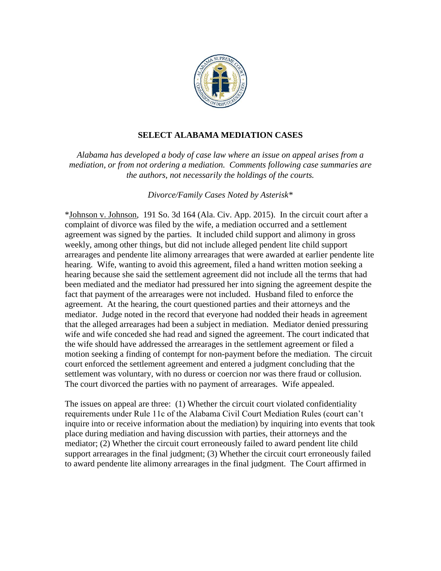

# **SELECT ALABAMA MEDIATION CASES**

*Alabama has developed a body of case law where an issue on appeal arises from a mediation, or from not ordering a mediation. Comments following case summaries are the authors, not necessarily the holdings of the courts.*

*Divorce/Family Cases Noted by Asterisk\** 

\*Johnson v. Johnson, 191 So. 3d 164 (Ala. Civ. App. 2015). In the circuit court after a complaint of divorce was filed by the wife, a mediation occurred and a settlement agreement was signed by the parties. It included child support and alimony in gross weekly, among other things, but did not include alleged pendent lite child support arrearages and pendente lite alimony arrearages that were awarded at earlier pendente lite hearing. Wife, wanting to avoid this agreement, filed a hand written motion seeking a hearing because she said the settlement agreement did not include all the terms that had been mediated and the mediator had pressured her into signing the agreement despite the fact that payment of the arrearages were not included. Husband filed to enforce the agreement. At the hearing, the court questioned parties and their attorneys and the mediator. Judge noted in the record that everyone had nodded their heads in agreement that the alleged arrearages had been a subject in mediation. Mediator denied pressuring wife and wife conceded she had read and signed the agreement. The court indicated that the wife should have addressed the arrearages in the settlement agreement or filed a motion seeking a finding of contempt for non-payment before the mediation. The circuit court enforced the settlement agreement and entered a judgment concluding that the settlement was voluntary, with no duress or coercion nor was there fraud or collusion. The court divorced the parties with no payment of arrearages. Wife appealed.

The issues on appeal are three: (1) Whether the circuit court violated confidentiality requirements under Rule 11c of the Alabama Civil Court Mediation Rules (court can't inquire into or receive information about the mediation) by inquiring into events that took place during mediation and having discussion with parties, their attorneys and the mediator; (2) Whether the circuit court erroneously failed to award pendent lite child support arrearages in the final judgment; (3) Whether the circuit court erroneously failed to award pendente lite alimony arrearages in the final judgment. The Court affirmed in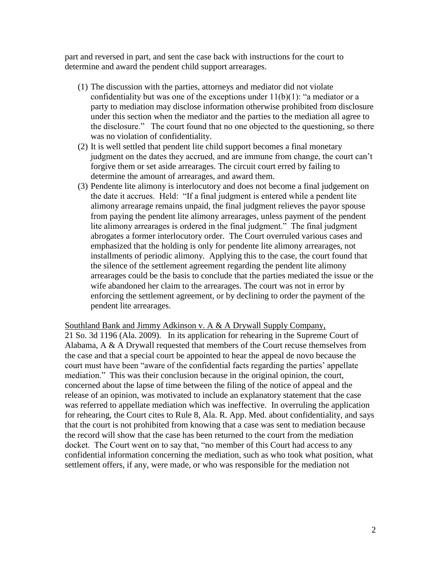part and reversed in part, and sent the case back with instructions for the court to determine and award the pendent child support arrearages.

- (1) The discussion with the parties, attorneys and mediator did not violate confidentiality but was one of the exceptions under  $11(b)(1)$ : "a mediator or a party to mediation may disclose information otherwise prohibited from disclosure under this section when the mediator and the parties to the mediation all agree to the disclosure." The court found that no one objected to the questioning, so there was no violation of confidentiality.
- (2) It is well settled that pendent lite child support becomes a final monetary judgment on the dates they accrued, and are immune from change, the court can't forgive them or set aside arrearages. The circuit court erred by failing to determine the amount of arrearages, and award them.
- (3) Pendente lite alimony is interlocutory and does not become a final judgement on the date it accrues. Held: "If a final judgment is entered while a pendent lite alimony arrearage remains unpaid, the final judgment relieves the payor spouse from paying the pendent lite alimony arrearages, unless payment of the pendent lite alimony arrearages is ordered in the final judgment." The final judgment abrogates a former interlocutory order. The Court overruled various cases and emphasized that the holding is only for pendente lite alimony arrearages, not installments of periodic alimony. Applying this to the case, the court found that the silence of the settlement agreement regarding the pendent lite alimony arrearages could be the basis to conclude that the parties mediated the issue or the wife abandoned her claim to the arrearages. The court was not in error by enforcing the settlement agreement, or by declining to order the payment of the pendent lite arrearages.

Southland Bank and Jimmy Adkinson v. A & A Drywall Supply Company,

21 So. 3d 1196 (Ala. 2009). In its application for rehearing in the Supreme Court of Alabama, A & A Drywall requested that members of the Court recuse themselves from the case and that a special court be appointed to hear the appeal de novo because the court must have been "aware of the confidential facts regarding the parties' appellate mediation." This was their conclusion because in the original opinion, the court, concerned about the lapse of time between the filing of the notice of appeal and the release of an opinion, was motivated to include an explanatory statement that the case was referred to appellate mediation which was ineffective. In overruling the application for rehearing, the Court cites to Rule 8, Ala. R. App. Med. about confidentiality, and says that the court is not prohibited from knowing that a case was sent to mediation because the record will show that the case has been returned to the court from the mediation docket. The Court went on to say that, "no member of this Court had access to any confidential information concerning the mediation, such as who took what position, what settlement offers, if any, were made, or who was responsible for the mediation not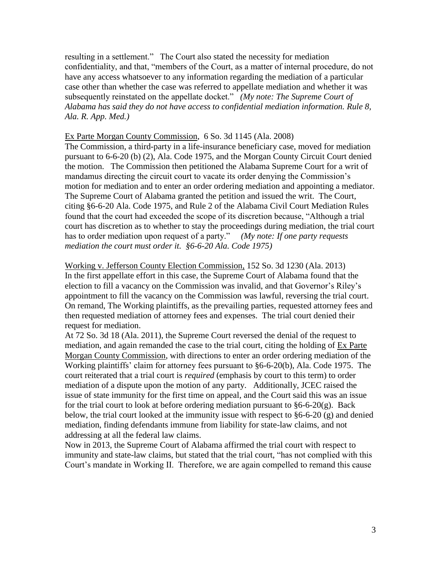resulting in a settlement." The Court also stated the necessity for mediation confidentiality, and that, "members of the Court, as a matter of internal procedure, do not have any access whatsoever to any information regarding the mediation of a particular case other than whether the case was referred to appellate mediation and whether it was subsequently reinstated on the appellate docket." *(My note: The Supreme Court of Alabama has said they do not have access to confidential mediation information. Rule 8, Ala. R. App. Med.)*

## Ex Parte Morgan County Commission, 6 So. 3d 1145 (Ala. 2008)

The Commission, a third-party in a life-insurance beneficiary case, moved for mediation pursuant to 6-6-20 (b) (2), Ala. Code 1975, and the Morgan County Circuit Court denied the motion. The Commission then petitioned the Alabama Supreme Court for a writ of mandamus directing the circuit court to vacate its order denying the Commission's motion for mediation and to enter an order ordering mediation and appointing a mediator. The Supreme Court of Alabama granted the petition and issued the writ. The Court, citing §6-6-20 Ala. Code 1975, and Rule 2 of the Alabama Civil Court Mediation Rules found that the court had exceeded the scope of its discretion because, "Although a trial court has discretion as to whether to stay the proceedings during mediation, the trial court has to order mediation upon request of a party." *(My note: If one party requests mediation the court must order it. §6-6-20 Ala. Code 1975)* 

Working v. Jefferson County Election Commission, 152 So. 3d 1230 (Ala. 2013) In the first appellate effort in this case, the Supreme Court of Alabama found that the election to fill a vacancy on the Commission was invalid, and that Governor's Riley's appointment to fill the vacancy on the Commission was lawful, reversing the trial court. On remand, The Working plaintiffs, as the prevailing parties, requested attorney fees and then requested mediation of attorney fees and expenses. The trial court denied their request for mediation.

At 72 So. 3d 18 (Ala. 2011), the Supreme Court reversed the denial of the request to mediation, and again remanded the case to the trial court, citing the holding of Ex Parte Morgan County Commission, with directions to enter an order ordering mediation of the Working plaintiffs' claim for attorney fees pursuant to §6-6-20(b), Ala. Code 1975. The court reiterated that a trial court is *required* (emphasis by court to this term) to order mediation of a dispute upon the motion of any party. Additionally, JCEC raised the issue of state immunity for the first time on appeal, and the Court said this was an issue for the trial court to look at before ordering mediation pursuant to  $§6-6-20(g)$ . Back below, the trial court looked at the immunity issue with respect to  $§6-6-20$  (g) and denied mediation, finding defendants immune from liability for state-law claims, and not addressing at all the federal law claims.

Now in 2013, the Supreme Court of Alabama affirmed the trial court with respect to immunity and state-law claims, but stated that the trial court, "has not complied with this Court's mandate in Working II. Therefore, we are again compelled to remand this cause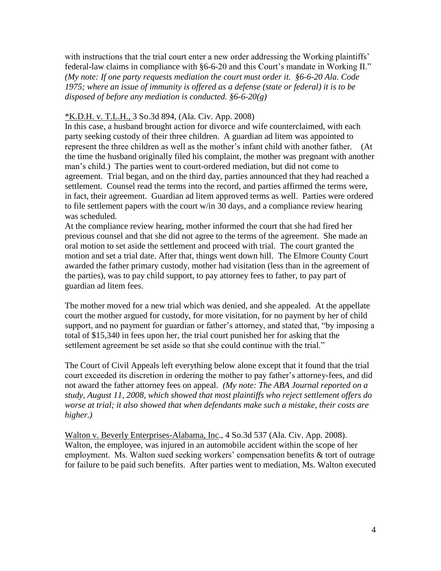with instructions that the trial court enter a new order addressing the Working plaintiffs' federal-law claims in compliance with §6-6-20 and this Court's mandate in Working II." *(My note: If one party requests mediation the court must order it. §6-6-20 Ala. Code 1975; where an issue of immunity is offered as a defense (state or federal) it is to be disposed of before any mediation is conducted. §6-6-20(g)*

## \*K.D.H. v. T.L.H., 3 So.3d 894, (Ala. Civ. App. 2008)

In this case, a husband brought action for divorce and wife counterclaimed, with each party seeking custody of their three children. A guardian ad litem was appointed to represent the three children as well as the mother's infant child with another father. (At the time the husband originally filed his complaint, the mother was pregnant with another man's child.) The parties went to court-ordered mediation, but did not come to agreement. Trial began, and on the third day, parties announced that they had reached a settlement. Counsel read the terms into the record, and parties affirmed the terms were, in fact, their agreement. Guardian ad litem approved terms as well. Parties were ordered to file settlement papers with the court w/in 30 days, and a compliance review hearing was scheduled.

At the compliance review hearing, mother informed the court that she had fired her previous counsel and that she did not agree to the terms of the agreement. She made an oral motion to set aside the settlement and proceed with trial. The court granted the motion and set a trial date. After that, things went down hill. The Elmore County Court awarded the father primary custody, mother had visitation (less than in the agreement of the parties), was to pay child support, to pay attorney fees to father, to pay part of guardian ad litem fees.

The mother moved for a new trial which was denied, and she appealed. At the appellate court the mother argued for custody, for more visitation, for no payment by her of child support, and no payment for guardian or father's attorney, and stated that, "by imposing a total of \$15,340 in fees upon her, the trial court punished her for asking that the settlement agreement be set aside so that she could continue with the trial."

The Court of Civil Appeals left everything below alone except that it found that the trial court exceeded its discretion in ordering the mother to pay father's attorney-fees, and did not award the father attorney fees on appeal. *(My note: The ABA Journal reported on a study, August 11, 2008, which showed that most plaintiffs who reject settlement offers do worse at trial; it also showed that when defendants make such a mistake, their costs are higher.)*

Walton v. Beverly Enterprises-Alabama, Inc., 4 So.3d 537 (Ala. Civ. App. 2008). Walton, the employee, was injured in an automobile accident within the scope of her employment. Ms. Walton sued seeking workers' compensation benefits & tort of outrage for failure to be paid such benefits. After parties went to mediation, Ms. Walton executed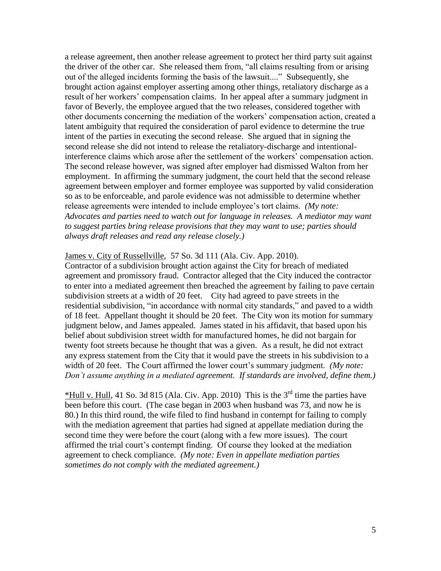a release agreement, then another release agreement to protect her third party suit against the driver of the other car. She released them from, "all claims resulting from or arising out of the alleged incidents forming the basis of the lawsuit...." Subsequently, she brought action against employer asserting among other things, retaliatory discharge as a result of her workers' compensation claims. In her appeal after a summary judgment in favor of Beverly, the employee argued that the two releases, considered together with other documents concerning the mediation of the workers' compensation action, created a latent ambiguity that required the consideration of parol evidence to determine the true intent of the parties in executing the second release. She argued that in signing the second release she did not intend to release the retaliatory-discharge and intentionalinterference claims which arose after the settlement of the workers' compensation action. The second release however, was signed after employer had dismissed Walton from her employment. In affirming the summary judgment, the court held that the second release agreement between employer and former employee was supported by valid consideration so as to be enforceable, and parole evidence was not admissible to determine whether release agreements were intended to include employee's tort claims. *(My note: Advocates and parties need to watch out for language in releases. A mediator may want to suggest parties bring release provisions that they may want to use; parties should always draft releases and read any release closely.)*

#### James v. City of Russellville, 57 So. 3d 111 (Ala. Civ. App. 2010).

Contractor of a subdivision brought action against the City for breach of mediated agreement and promissory fraud. Contractor alleged that the City induced the contractor to enter into a mediated agreement then breached the agreement by failing to pave certain subdivision streets at a width of 20 feet. City had agreed to pave streets in the residential subdivision, "in accordance with normal city standards," and paved to a width of 18 feet. Appellant thought it should be 20 feet. The City won its motion for summary judgment below, and James appealed. James stated in his affidavit, that based upon his belief about subdivision street width for manufactured homes, he did not bargain for twenty foot streets because he thought that was a given. As a result, he did not extract any express statement from the City that it would pave the streets in his subdivision to a width of 20 feet. The Court affirmed the lower court's summary judgment. *(My note: Don't assume anything in a mediated agreement. If standards are involved, define them.)*

\*Hull v. Hull, 41 So. 3d 815 (Ala. Civ. App. 2010) This is the  $3<sup>rd</sup>$  time the parties have been before this court. (The case began in 2003 when husband was 73, and now he is 80.) In this third round, the wife filed to find husband in contempt for failing to comply with the mediation agreement that parties had signed at appellate mediation during the second time they were before the court (along with a few more issues). The court affirmed the trial court's contempt finding. Of course they looked at the mediation agreement to check compliance. *(My note: Even in appellate mediation parties sometimes do not comply with the mediated agreement.)*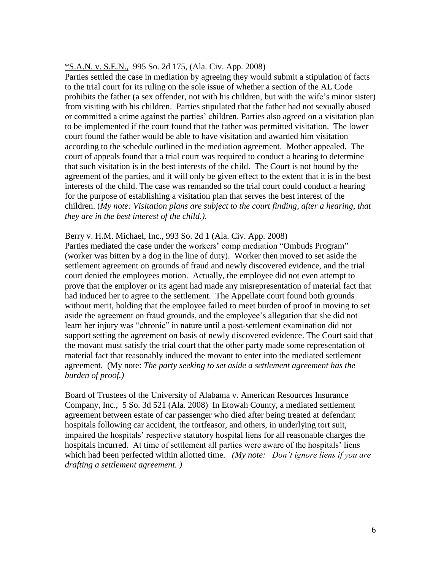## \*S.A.N. v. S.E.N., 995 So. 2d 175, (Ala. Civ. App. 2008)

Parties settled the case in mediation by agreeing they would submit a stipulation of facts to the trial court for its ruling on the sole issue of whether a section of the AL Code prohibits the father (a sex offender, not with his children, but with the wife's minor sister) from visiting with his children. Parties stipulated that the father had not sexually abused or committed a crime against the parties' children. Parties also agreed on a visitation plan to be implemented if the court found that the father was permitted visitation. The lower court found the father would be able to have visitation and awarded him visitation according to the schedule outlined in the mediation agreement. Mother appealed. The court of appeals found that a trial court was required to conduct a hearing to determine that such visitation is in the best interests of the child. The Court is not bound by the agreement of the parties, and it will only be given effect to the extent that it is in the best interests of the child. The case was remanded so the trial court could conduct a hearing for the purpose of establishing a visitation plan that serves the best interest of the children. (*My note: Visitation plans are subject to the court finding, after a hearing, that they are in the best interest of the child.).*

# Berry v. H.M. Michael, Inc., 993 So. 2d 1 (Ala. Civ. App. 2008)

Parties mediated the case under the workers' comp mediation "Ombuds Program" (worker was bitten by a dog in the line of duty). Worker then moved to set aside the settlement agreement on grounds of fraud and newly discovered evidence, and the trial court denied the employees motion. Actually, the employee did not even attempt to prove that the employer or its agent had made any misrepresentation of material fact that had induced her to agree to the settlement. The Appellate court found both grounds without merit, holding that the employee failed to meet burden of proof in moving to set aside the agreement on fraud grounds, and the employee's allegation that she did not learn her injury was "chronic" in nature until a post-settlement examination did not support setting the agreement on basis of newly discovered evidence. The Court said that the movant must satisfy the trial court that the other party made some representation of material fact that reasonably induced the movant to enter into the mediated settlement agreement. (My note: *The party seeking to set aside a settlement agreement has the burden of proof.)*

Board of Trustees of the University of Alabama v. American Resources Insurance Company, Inc., 5 So. 3d 521 (Ala. 2008) In Etowah County, a mediated settlement agreement between estate of car passenger who died after being treated at defendant hospitals following car accident, the tortfeasor, and others, in underlying tort suit, impaired the hospitals' respective statutory hospital liens for all reasonable charges the hospitals incurred. At time of settlement all parties were aware of the hospitals' liens which had been perfected within allotted time. *(My note: Don't ignore liens if you are drafting a settlement agreement. )*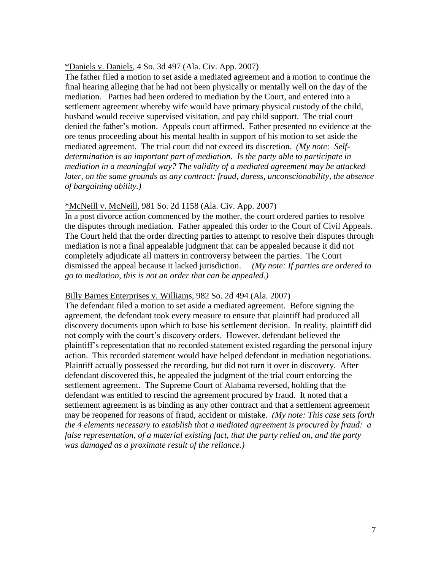#### \*Daniels v. Daniels, 4 So. 3d 497 (Ala. Civ. App. 2007)

The father filed a motion to set aside a mediated agreement and a motion to continue the final hearing alleging that he had not been physically or mentally well on the day of the mediation. Parties had been ordered to mediation by the Court, and entered into a settlement agreement whereby wife would have primary physical custody of the child, husband would receive supervised visitation, and pay child support. The trial court denied the father's motion. Appeals court affirmed. Father presented no evidence at the ore tenus proceeding about his mental health in support of his motion to set aside the mediated agreement. The trial court did not exceed its discretion. *(My note: Selfdetermination is an important part of mediation. Is the party able to participate in mediation in a meaningful way? The validity of a mediated agreement may be attacked later, on the same grounds as any contract: fraud, duress, unconscionability, the absence of bargaining ability.)*

### \*McNeill v. McNeill, 981 So. 2d 1158 (Ala. Civ. App. 2007)

In a post divorce action commenced by the mother, the court ordered parties to resolve the disputes through mediation. Father appealed this order to the Court of Civil Appeals. The Court held that the order directing parties to attempt to resolve their disputes through mediation is not a final appealable judgment that can be appealed because it did not completely adjudicate all matters in controversy between the parties. The Court dismissed the appeal because it lacked jurisdiction. *(My note: If parties are ordered to go to mediation, this is not an order that can be appealed.)*

## Billy Barnes Enterprises v. Williams, 982 So. 2d 494 (Ala. 2007)

The defendant filed a motion to set aside a mediated agreement. Before signing the agreement, the defendant took every measure to ensure that plaintiff had produced all discovery documents upon which to base his settlement decision. In reality, plaintiff did not comply with the court's discovery orders. However, defendant believed the plaintiff's representation that no recorded statement existed regarding the personal injury action. This recorded statement would have helped defendant in mediation negotiations. Plaintiff actually possessed the recording, but did not turn it over in discovery. After defendant discovered this, he appealed the judgment of the trial court enforcing the settlement agreement. The Supreme Court of Alabama reversed, holding that the defendant was entitled to rescind the agreement procured by fraud. It noted that a settlement agreement is as binding as any other contract and that a settlement agreement may be reopened for reasons of fraud, accident or mistake. *(My note: This case sets forth the 4 elements necessary to establish that a mediated agreement is procured by fraud: a false representation, of a material existing fact, that the party relied on, and the party was damaged as a proximate result of the reliance.)*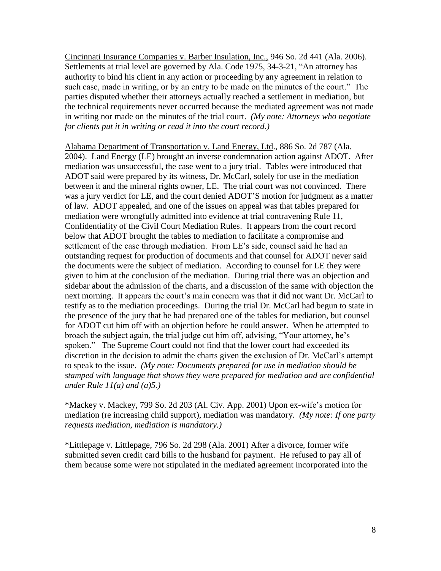Cincinnati Insurance Companies v. Barber Insulation, Inc., 946 So. 2d 441 (Ala. 2006). Settlements at trial level are governed by Ala. Code 1975, 34-3-21, "An attorney has authority to bind his client in any action or proceeding by any agreement in relation to such case, made in writing, or by an entry to be made on the minutes of the court." The parties disputed whether their attorneys actually reached a settlement in mediation, but the technical requirements never occurred because the mediated agreement was not made in writing nor made on the minutes of the trial court. *(My note: Attorneys who negotiate for clients put it in writing or read it into the court record.)*

Alabama Department of Transportation v. Land Energy, Ltd., 886 So. 2d 787 (Ala. 2004). Land Energy (LE) brought an inverse condemnation action against ADOT. After mediation was unsuccessful, the case went to a jury trial. Tables were introduced that ADOT said were prepared by its witness, Dr. McCarl, solely for use in the mediation between it and the mineral rights owner, LE. The trial court was not convinced. There was a jury verdict for LE, and the court denied ADOT'S motion for judgment as a matter of law. ADOT appealed, and one of the issues on appeal was that tables prepared for mediation were wrongfully admitted into evidence at trial contravening Rule 11, Confidentiality of the Civil Court Mediation Rules. It appears from the court record below that ADOT brought the tables to mediation to facilitate a compromise and settlement of the case through mediation. From LE's side, counsel said he had an outstanding request for production of documents and that counsel for ADOT never said the documents were the subject of mediation. According to counsel for LE they were given to him at the conclusion of the mediation. During trial there was an objection and sidebar about the admission of the charts, and a discussion of the same with objection the next morning. It appears the court's main concern was that it did not want Dr. McCarl to testify as to the mediation proceedings. During the trial Dr. McCarl had begun to state in the presence of the jury that he had prepared one of the tables for mediation, but counsel for ADOT cut him off with an objection before he could answer. When he attempted to broach the subject again, the trial judge cut him off, advising, "Your attorney, he's spoken." The Supreme Court could not find that the lower court had exceeded its discretion in the decision to admit the charts given the exclusion of Dr. McCarl's attempt to speak to the issue. *(My note: Documents prepared for use in mediation should be stamped with language that shows they were prepared for mediation and are confidential under Rule 11(a) and (a)5.)*

\*Mackey v. Mackey, 799 So. 2d 203 (Al. Civ. App. 2001) Upon ex-wife's motion for mediation (re increasing child support), mediation was mandatory. *(My note: If one party requests mediation, mediation is mandatory.)*

\*Littlepage v. Littlepage, 796 So. 2d 298 (Ala. 2001) After a divorce, former wife submitted seven credit card bills to the husband for payment. He refused to pay all of them because some were not stipulated in the mediated agreement incorporated into the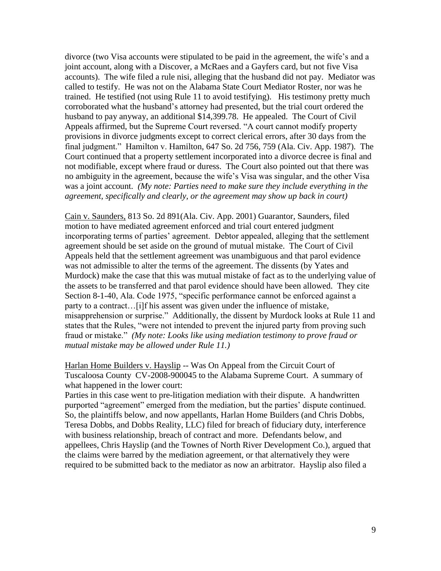divorce (two Visa accounts were stipulated to be paid in the agreement, the wife's and a joint account, along with a Discover, a McRaes and a Gayfers card, but not five Visa accounts). The wife filed a rule nisi, alleging that the husband did not pay. Mediator was called to testify. He was not on the Alabama State Court Mediator Roster, nor was he trained. He testified (not using Rule 11 to avoid testifying). His testimony pretty much corroborated what the husband's attorney had presented, but the trial court ordered the husband to pay anyway, an additional \$14,399.78. He appealed. The Court of Civil Appeals affirmed, but the Supreme Court reversed. "A court cannot modify property provisions in divorce judgments except to correct clerical errors, after 30 days from the final judgment." Hamilton v. Hamilton, 647 So. 2d 756, 759 (Ala. Civ. App. 1987). The Court continued that a property settlement incorporated into a divorce decree is final and not modifiable, except where fraud or duress. The Court also pointed out that there was no ambiguity in the agreement, because the wife's Visa was singular, and the other Visa was a joint account. *(My note: Parties need to make sure they include everything in the agreement, specifically and clearly, or the agreement may show up back in court)*

Cain v. Saunders, 813 So. 2d 891(Ala. Civ. App. 2001) Guarantor, Saunders, filed motion to have mediated agreement enforced and trial court entered judgment incorporating terms of parties' agreement. Debtor appealed, alleging that the settlement agreement should be set aside on the ground of mutual mistake. The Court of Civil Appeals held that the settlement agreement was unambiguous and that parol evidence was not admissible to alter the terms of the agreement. The dissents (by Yates and Murdock) make the case that this was mutual mistake of fact as to the underlying value of the assets to be transferred and that parol evidence should have been allowed. They cite Section 8-1-40, Ala. Code 1975, "specific performance cannot be enforced against a party to a contract…[i]f his assent was given under the influence of mistake, misapprehension or surprise." Additionally, the dissent by Murdock looks at Rule 11 and states that the Rules, "were not intended to prevent the injured party from proving such fraud or mistake." *(My note: Looks like using mediation testimony to prove fraud or mutual mistake may be allowed under Rule 11.)*

Harlan Home Builders v. Hayslip -- Was On Appeal from the Circuit Court of Tuscaloosa County CV-2008-900045 to the Alabama Supreme Court. A summary of what happened in the lower court:

Parties in this case went to pre-litigation mediation with their dispute. A handwritten purported "agreement" emerged from the mediation, but the parties' dispute continued. So, the plaintiffs below, and now appellants, Harlan Home Builders (and Chris Dobbs, Teresa Dobbs, and Dobbs Reality, LLC) filed for breach of fiduciary duty, interference with business relationship, breach of contract and more. Defendants below, and appellees, Chris Hayslip (and the Townes of North River Development Co.), argued that the claims were barred by the mediation agreement, or that alternatively they were required to be submitted back to the mediator as now an arbitrator. Hayslip also filed a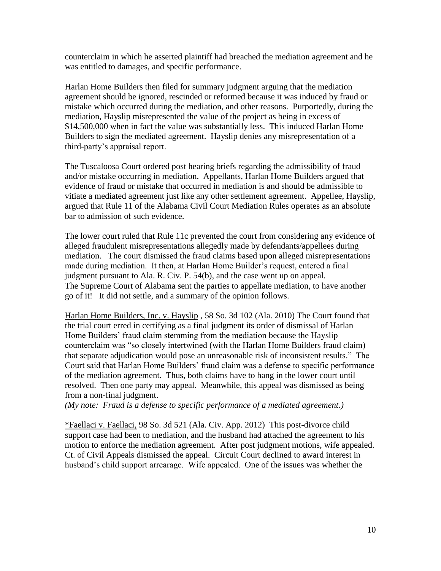counterclaim in which he asserted plaintiff had breached the mediation agreement and he was entitled to damages, and specific performance.

Harlan Home Builders then filed for summary judgment arguing that the mediation agreement should be ignored, rescinded or reformed because it was induced by fraud or mistake which occurred during the mediation, and other reasons. Purportedly, during the mediation, Hayslip misrepresented the value of the project as being in excess of \$14,500,000 when in fact the value was substantially less. This induced Harlan Home Builders to sign the mediated agreement. Hayslip denies any misrepresentation of a third-party's appraisal report.

The Tuscaloosa Court ordered post hearing briefs regarding the admissibility of fraud and/or mistake occurring in mediation. Appellants, Harlan Home Builders argued that evidence of fraud or mistake that occurred in mediation is and should be admissible to vitiate a mediated agreement just like any other settlement agreement. Appellee, Hayslip, argued that Rule 11 of the Alabama Civil Court Mediation Rules operates as an absolute bar to admission of such evidence.

The lower court ruled that Rule 11c prevented the court from considering any evidence of alleged fraudulent misrepresentations allegedly made by defendants/appellees during mediation. The court dismissed the fraud claims based upon alleged misrepresentations made during mediation. It then, at Harlan Home Builder's request, entered a final judgment pursuant to Ala. R. Civ. P. 54(b), and the case went up on appeal. The Supreme Court of Alabama sent the parties to appellate mediation, to have another go of it! It did not settle, and a summary of the opinion follows.

Harlan Home Builders, Inc. v. Hayslip , 58 So. 3d 102 (Ala. 2010) The Court found that the trial court erred in certifying as a final judgment its order of dismissal of Harlan Home Builders' fraud claim stemming from the mediation because the Hayslip counterclaim was "so closely intertwined (with the Harlan Home Builders fraud claim) that separate adjudication would pose an unreasonable risk of inconsistent results." The Court said that Harlan Home Builders' fraud claim was a defense to specific performance of the mediation agreement. Thus, both claims have to hang in the lower court until resolved. Then one party may appeal. Meanwhile, this appeal was dismissed as being from a non-final judgment.

*(My note: Fraud is a defense to specific performance of a mediated agreement.)*

\*Faellaci v. Faellaci, 98 So. 3d 521 (Ala. Civ. App. 2012) This post-divorce child support case had been to mediation, and the husband had attached the agreement to his motion to enforce the mediation agreement. After post judgment motions, wife appealed. Ct. of Civil Appeals dismissed the appeal. Circuit Court declined to award interest in husband's child support arrearage. Wife appealed. One of the issues was whether the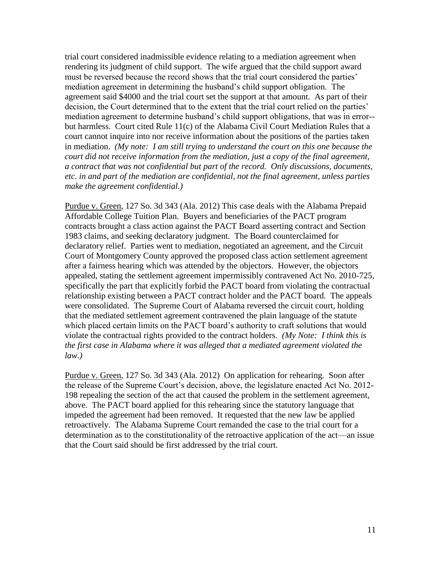trial court considered inadmissible evidence relating to a mediation agreement when rendering its judgment of child support. The wife argued that the child support award must be reversed because the record shows that the trial court considered the parties' mediation agreement in determining the husband's child support obligation. The agreement said \$4000 and the trial court set the support at that amount. As part of their decision, the Court determined that to the extent that the trial court relied on the parties' mediation agreement to determine husband's child support obligations, that was in error- but harmless. Court cited Rule 11(c) of the Alabama Civil Court Mediation Rules that a court cannot inquire into nor receive information about the positions of the parties taken in mediation. *(My note: I am still trying to understand the court on this one because the court did not receive information from the mediation, just a copy of the final agreement, a contract that was not confidential but part of the record. Only discussions, documents, etc. in and part of the mediation are confidential, not the final agreement, unless parties make the agreement confidential.)* 

Purdue v. Green, 127 So. 3d 343 (Ala. 2012) This case deals with the Alabama Prepaid Affordable College Tuition Plan. Buyers and beneficiaries of the PACT program contracts brought a class action against the PACT Board asserting contract and Section 1983 claims, and seeking declaratory judgment. The Board counterclaimed for declaratory relief. Parties went to mediation, negotiated an agreement, and the Circuit Court of Montgomery County approved the proposed class action settlement agreement after a fairness hearing which was attended by the objectors. However, the objectors appealed, stating the settlement agreement impermissibly contravened Act No. 2010-725, specifically the part that explicitly forbid the PACT board from violating the contractual relationship existing between a PACT contract holder and the PACT board. The appeals were consolidated. The Supreme Court of Alabama reversed the circuit court, holding that the mediated settlement agreement contravened the plain language of the statute which placed certain limits on the PACT board's authority to craft solutions that would violate the contractual rights provided to the contract holders. *(My Note: I think this is the first case in Alabama where it was alleged that a mediated agreement violated the law.)* 

Purdue v. Green, 127 So. 3d 343 (Ala. 2012) On application for rehearing. Soon after the release of the Supreme Court's decision, above, the legislature enacted Act No. 2012- 198 repealing the section of the act that caused the problem in the settlement agreement, above. The PACT board applied for this rehearing since the statutory language that impeded the agreement had been removed. It requested that the new law be applied retroactively. The Alabama Supreme Court remanded the case to the trial court for a determination as to the constitutionality of the retroactive application of the act—an issue that the Court said should be first addressed by the trial court.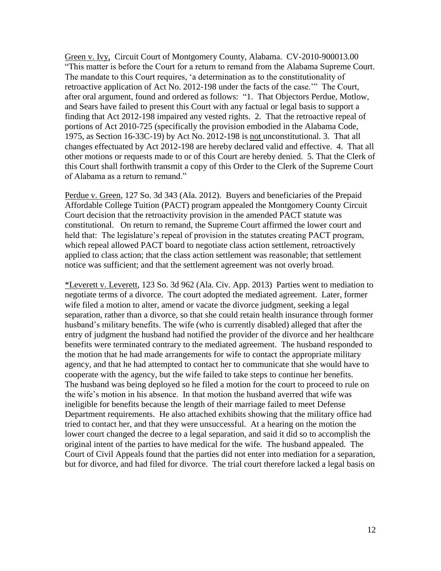Green v. Ivy, Circuit Court of Montgomery County, Alabama. CV-2010-900013.00 "This matter is before the Court for a return to remand from the Alabama Supreme Court. The mandate to this Court requires, 'a determination as to the constitutionality of retroactive application of Act No. 2012-198 under the facts of the case.'" The Court, after oral argument, found and ordered as follows: "1. That Objectors Perdue, Motlow, and Sears have failed to present this Court with any factual or legal basis to support a finding that Act 2012-198 impaired any vested rights. 2. That the retroactive repeal of portions of Act 2010-725 (specifically the provision embodied in the Alabama Code, 1975, as Section 16-33C-19) by Act No. 2012-198 is not unconstitutional. 3. That all changes effectuated by Act 2012-198 are hereby declared valid and effective. 4. That all other motions or requests made to or of this Court are hereby denied. 5. That the Clerk of this Court shall forthwith transmit a copy of this Order to the Clerk of the Supreme Court of Alabama as a return to remand."

Perdue v. Green, 127 So. 3d 343 (Ala. 2012). Buyers and beneficiaries of the Prepaid Affordable College Tuition (PACT) program appealed the Montgomery County Circuit Court decision that the retroactivity provision in the amended PACT statute was constitutional. On return to remand, the Supreme Court affirmed the lower court and held that: The legislature's repeal of provision in the statutes creating PACT program, which repeal allowed PACT board to negotiate class action settlement, retroactively applied to class action; that the class action settlement was reasonable; that settlement notice was sufficient; and that the settlement agreement was not overly broad.

\*Leverett v. Leverett, 123 So. 3d 962 (Ala. Civ. App. 2013) Parties went to mediation to negotiate terms of a divorce. The court adopted the mediated agreement. Later, former wife filed a motion to alter, amend or vacate the divorce judgment, seeking a legal separation, rather than a divorce, so that she could retain health insurance through former husband's military benefits. The wife (who is currently disabled) alleged that after the entry of judgment the husband had notified the provider of the divorce and her healthcare benefits were terminated contrary to the mediated agreement. The husband responded to the motion that he had made arrangements for wife to contact the appropriate military agency, and that he had attempted to contact her to communicate that she would have to cooperate with the agency, but the wife failed to take steps to continue her benefits. The husband was being deployed so he filed a motion for the court to proceed to rule on the wife's motion in his absence. In that motion the husband averred that wife was ineligible for benefits because the length of their marriage failed to meet Defense Department requirements. He also attached exhibits showing that the military office had tried to contact her, and that they were unsuccessful. At a hearing on the motion the lower court changed the decree to a legal separation, and said it did so to accomplish the original intent of the parties to have medical for the wife. The husband appealed. The Court of Civil Appeals found that the parties did not enter into mediation for a separation, but for divorce, and had filed for divorce. The trial court therefore lacked a legal basis on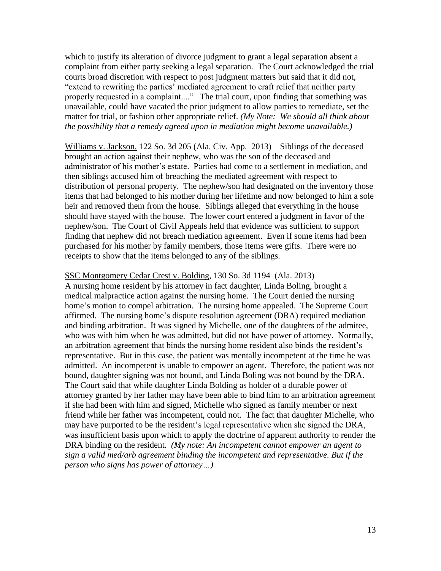which to justify its alteration of divorce judgment to grant a legal separation absent a complaint from either party seeking a legal separation. The Court acknowledged the trial courts broad discretion with respect to post judgment matters but said that it did not, "extend to rewriting the parties' mediated agreement to craft relief that neither party properly requested in a complaint...." The trial court, upon finding that something was unavailable, could have vacated the prior judgment to allow parties to remediate, set the matter for trial, or fashion other appropriate relief. *(My Note: We should all think about the possibility that a remedy agreed upon in mediation might become unavailable.)*

Williams v. Jackson, 122 So. 3d 205 (Ala. Civ. App. 2013) Siblings of the deceased brought an action against their nephew, who was the son of the deceased and administrator of his mother's estate. Parties had come to a settlement in mediation, and then siblings accused him of breaching the mediated agreement with respect to distribution of personal property. The nephew/son had designated on the inventory those items that had belonged to his mother during her lifetime and now belonged to him a sole heir and removed them from the house. Siblings alleged that everything in the house should have stayed with the house. The lower court entered a judgment in favor of the nephew/son. The Court of Civil Appeals held that evidence was sufficient to support finding that nephew did not breach mediation agreement. Even if some items had been purchased for his mother by family members, those items were gifts. There were no receipts to show that the items belonged to any of the siblings.

## SSC Montgomery Cedar Crest v. Bolding, 130 So. 3d 1194 (Ala. 2013)

A nursing home resident by his attorney in fact daughter, Linda Boling, brought a medical malpractice action against the nursing home. The Court denied the nursing home's motion to compel arbitration. The nursing home appealed. The Supreme Court affirmed. The nursing home's dispute resolution agreement (DRA) required mediation and binding arbitration. It was signed by Michelle, one of the daughters of the admitee, who was with him when he was admitted, but did not have power of attorney. Normally, an arbitration agreement that binds the nursing home resident also binds the resident's representative. But in this case, the patient was mentally incompetent at the time he was admitted. An incompetent is unable to empower an agent. Therefore, the patient was not bound, daughter signing was not bound, and Linda Boling was not bound by the DRA. The Court said that while daughter Linda Bolding as holder of a durable power of attorney granted by her father may have been able to bind him to an arbitration agreement if she had been with him and signed, Michelle who signed as family member or next friend while her father was incompetent, could not. The fact that daughter Michelle, who may have purported to be the resident's legal representative when she signed the DRA, was insufficient basis upon which to apply the doctrine of apparent authority to render the DRA binding on the resident*. (My note: An incompetent cannot empower an agent to sign a valid med/arb agreement binding the incompetent and representative. But if the person who signs has power of attorney…)*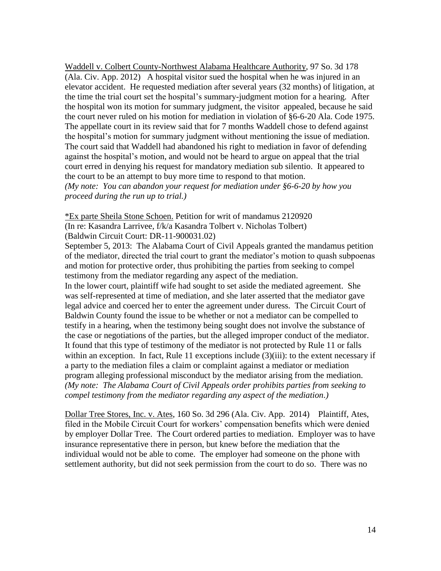Waddell v. Colbert County-Northwest Alabama Healthcare Authority, 97 So. 3d 178 (Ala. Civ. App. 2012) A hospital visitor sued the hospital when he was injured in an elevator accident. He requested mediation after several years (32 months) of litigation, at the time the trial court set the hospital's summary-judgment motion for a hearing. After the hospital won its motion for summary judgment, the visitor appealed, because he said the court never ruled on his motion for mediation in violation of §6-6-20 Ala. Code 1975. The appellate court in its review said that for 7 months Waddell chose to defend against the hospital's motion for summary judgment without mentioning the issue of mediation. The court said that Waddell had abandoned his right to mediation in favor of defending against the hospital's motion, and would not be heard to argue on appeal that the trial court erred in denying his request for mandatory mediation sub silentio. It appeared to the court to be an attempt to buy more time to respond to that motion. *(My note: You can abandon your request for mediation under §6-6-20 by how you proceed during the run up to trial.)*

\*Ex parte Sheila Stone Schoen. Petition for writ of mandamus 2120920 (In re: Kasandra Larrivee, f/k/a Kasandra Tolbert v. Nicholas Tolbert) (Baldwin Circuit Court: DR-11-900031.02)

September 5, 2013: The Alabama Court of Civil Appeals granted the mandamus petition of the mediator, directed the trial court to grant the mediator's motion to quash subpoenas and motion for protective order, thus prohibiting the parties from seeking to compel testimony from the mediator regarding any aspect of the mediation.

In the lower court, plaintiff wife had sought to set aside the mediated agreement. She was self-represented at time of mediation, and she later asserted that the mediator gave legal advice and coerced her to enter the agreement under duress. The Circuit Court of Baldwin County found the issue to be whether or not a mediator can be compelled to testify in a hearing, when the testimony being sought does not involve the substance of the case or negotiations of the parties, but the alleged improper conduct of the mediator. It found that this type of testimony of the mediator is not protected by Rule 11 or falls within an exception. In fact, Rule 11 exceptions include (3)(iii): to the extent necessary if a party to the mediation files a claim or complaint against a mediator or mediation program alleging professional misconduct by the mediator arising from the mediation. *(My note: The Alabama Court of Civil Appeals order prohibits parties from seeking to compel testimony from the mediator regarding any aspect of the mediation.)*

Dollar Tree Stores, Inc. v. Ates, 160 So. 3d 296 (Ala. Civ. App. 2014) Plaintiff, Ates, filed in the Mobile Circuit Court for workers' compensation benefits which were denied by employer Dollar Tree. The Court ordered parties to mediation. Employer was to have insurance representative there in person, but knew before the mediation that the individual would not be able to come. The employer had someone on the phone with settlement authority, but did not seek permission from the court to do so. There was no